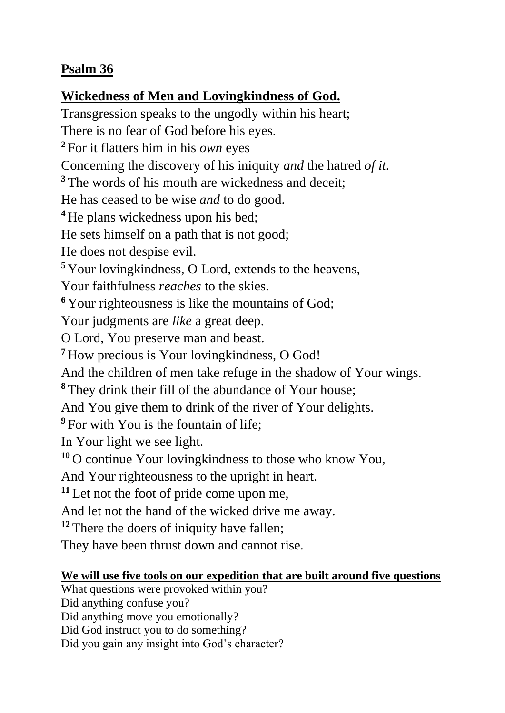## **Psalm 36**

## **Wickedness of Men and Lovingkindness of God.**

Transgression speaks to the ungodly within his heart; There is no fear of God before his eyes. **<sup>2</sup>** For it flatters him in his *own* eyes Concerning the discovery of his iniquity *and* the hatred *of it*. <sup>3</sup> The words of his mouth are wickedness and deceit; He has ceased to be wise *and* to do good. **<sup>4</sup>** He plans wickedness upon his bed; He sets himself on a path that is not good; He does not despise evil. **<sup>5</sup>** Your lovingkindness, O Lord, extends to the heavens, Your faithfulness *reaches* to the skies. **<sup>6</sup>** Your righteousness is like the mountains of God; Your judgments are *like* a great deep. O Lord, You preserve man and beast. **<sup>7</sup>** How precious is Your lovingkindness, O God! And the children of men take refuge in the shadow of Your wings. **<sup>8</sup>** They drink their fill of the abundance of Your house; And You give them to drink of the river of Your delights. <sup>9</sup> For with You is the fountain of life; In Your light we see light. **<sup>10</sup>** O continue Your lovingkindness to those who know You, And Your righteousness to the upright in heart. **<sup>11</sup>** Let not the foot of pride come upon me, And let not the hand of the wicked drive me away. <sup>12</sup> There the doers of iniquity have fallen; They have been thrust down and cannot rise. **We will use five tools on our expedition that are built around five questions** What questions were provoked within you?

Did anything confuse you?

Did anything move you emotionally?

Did God instruct you to do something?

Did you gain any insight into God's character?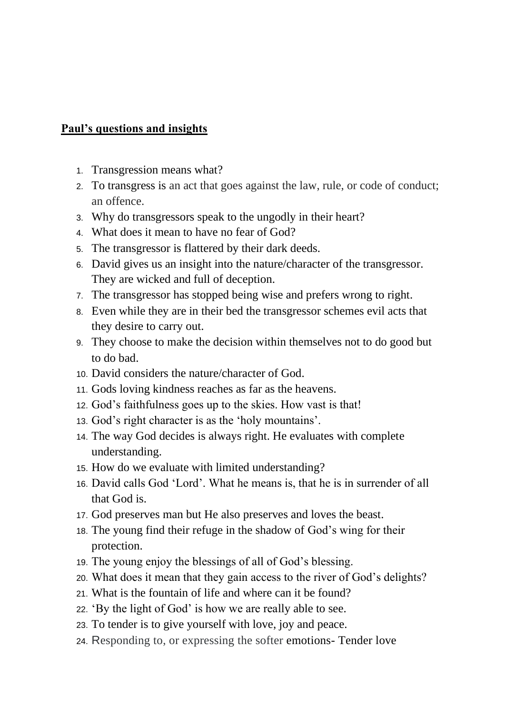## **Paul's questions and insights**

- 1. Transgression means what?
- 2. To transgress is an act that goes against the law, rule, or code of conduct; an offence.
- 3. Why do transgressors speak to the ungodly in their heart?
- 4. What does it mean to have no fear of God?
- 5. The transgressor is flattered by their dark deeds.
- 6. David gives us an insight into the nature/character of the transgressor. They are wicked and full of deception.
- 7. The transgressor has stopped being wise and prefers wrong to right.
- 8. Even while they are in their bed the transgressor schemes evil acts that they desire to carry out.
- 9. They choose to make the decision within themselves not to do good but to do bad.
- 10. David considers the nature/character of God.
- 11. Gods loving kindness reaches as far as the heavens.
- 12. God's faithfulness goes up to the skies. How vast is that!
- 13. God's right character is as the 'holy mountains'.
- 14. The way God decides is always right. He evaluates with complete understanding.
- 15. How do we evaluate with limited understanding?
- 16. David calls God 'Lord'. What he means is, that he is in surrender of all that God is.
- 17. God preserves man but He also preserves and loves the beast.
- 18. The young find their refuge in the shadow of God's wing for their protection.
- 19. The young enjoy the blessings of all of God's blessing.
- 20. What does it mean that they gain access to the river of God's delights?
- 21. What is the fountain of life and where can it be found?
- 22. 'By the light of God' is how we are really able to see.
- 23. To tender is to give yourself with love, joy and peace.
- 24. Responding to, or expressing the softer emotions- Tender love